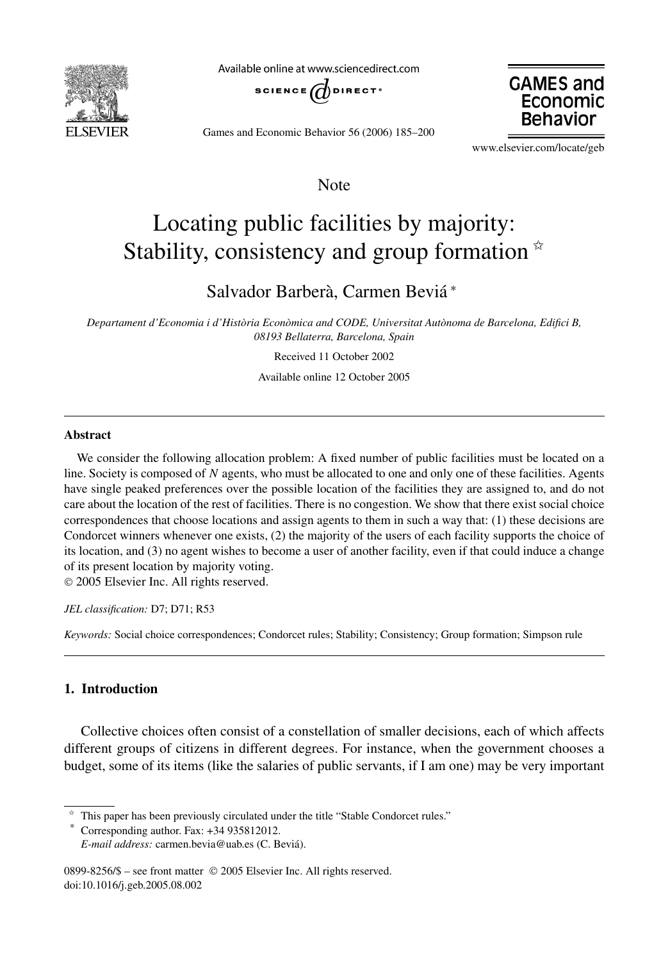

Available online at www.sciencedirect.com



**GAMES and** Economic **Behavior** 

Games and Economic Behavior 56 (2006) 185–200

www.elsevier.com/locate/geb

**Note** 

# Locating public facilities by majority: Stability, consistency and group formation  $*$

Salvador Barberà, Carmen Beviá <sup>∗</sup>

*Departament d'Economia i d'Història Econòmica and CODE, Universitat Autònoma de Barcelona, Edifici B, 08193 Bellaterra, Barcelona, Spain*

Received 11 October 2002

Available online 12 October 2005

#### **Abstract**

We consider the following allocation problem: A fixed number of public facilities must be located on a line. Society is composed of *N* agents, who must be allocated to one and only one of these facilities. Agents have single peaked preferences over the possible location of the facilities they are assigned to, and do not care about the location of the rest of facilities. There is no congestion. We show that there exist social choice correspondences that choose locations and assign agents to them in such a way that: (1) these decisions are Condorcet winners whenever one exists, (2) the majority of the users of each facility supports the choice of its location, and (3) no agent wishes to become a user of another facility, even if that could induce a change of its present location by majority voting.

© 2005 Elsevier Inc. All rights reserved.

*JEL classification:* D7; D71; R53

*Keywords:* Social choice correspondences; Condorcet rules; Stability; Consistency; Group formation; Simpson rule

## **1. Introduction**

Collective choices often consist of a constellation of smaller decisions, each of which affects different groups of citizens in different degrees. For instance, when the government chooses a budget, some of its items (like the salaries of public servants, if I am one) may be very important

Corresponding author. Fax: +34 935812012. *E-mail address:* carmen.bevia@uab.es (C. Beviá).

0899-8256/\$ – see front matter © 2005 Elsevier Inc. All rights reserved. doi:10.1016/j.geb.2005.08.002

 $*$  This paper has been previously circulated under the title "Stable Condorcet rules."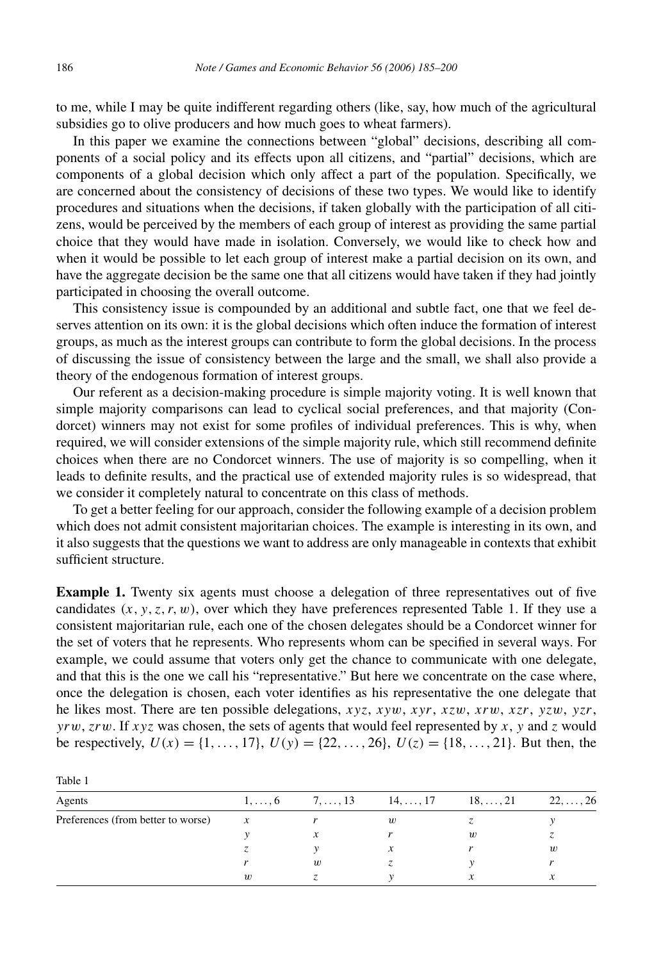to me, while I may be quite indifferent regarding others (like, say, how much of the agricultural subsidies go to olive producers and how much goes to wheat farmers).

In this paper we examine the connections between "global" decisions, describing all components of a social policy and its effects upon all citizens, and "partial" decisions, which are components of a global decision which only affect a part of the population. Specifically, we are concerned about the consistency of decisions of these two types. We would like to identify procedures and situations when the decisions, if taken globally with the participation of all citizens, would be perceived by the members of each group of interest as providing the same partial choice that they would have made in isolation. Conversely, we would like to check how and when it would be possible to let each group of interest make a partial decision on its own, and have the aggregate decision be the same one that all citizens would have taken if they had jointly participated in choosing the overall outcome.

This consistency issue is compounded by an additional and subtle fact, one that we feel deserves attention on its own: it is the global decisions which often induce the formation of interest groups, as much as the interest groups can contribute to form the global decisions. In the process of discussing the issue of consistency between the large and the small, we shall also provide a theory of the endogenous formation of interest groups.

Our referent as a decision-making procedure is simple majority voting. It is well known that simple majority comparisons can lead to cyclical social preferences, and that majority (Condorcet) winners may not exist for some profiles of individual preferences. This is why, when required, we will consider extensions of the simple majority rule, which still recommend definite choices when there are no Condorcet winners. The use of majority is so compelling, when it leads to definite results, and the practical use of extended majority rules is so widespread, that we consider it completely natural to concentrate on this class of methods.

To get a better feeling for our approach, consider the following example of a decision problem which does not admit consistent majoritarian choices. The example is interesting in its own, and it also suggests that the questions we want to address are only manageable in contexts that exhibit sufficient structure.

**Example 1.** Twenty six agents must choose a delegation of three representatives out of five candidates  $(x, y, z, r, w)$ , over which they have preferences represented Table 1. If they use a consistent majoritarian rule, each one of the chosen delegates should be a Condorcet winner for the set of voters that he represents. Who represents whom can be specified in several ways. For example, we could assume that voters only get the chance to communicate with one delegate, and that this is the one we call his "representative." But here we concentrate on the case where, once the delegation is chosen, each voter identifies as his representative the one delegate that he likes most. There are ten possible delegations, *xyz*, *xyw*, *xyr*, *xzw*, *xrw*, *xzr*, *yzw*, *yzr*, *yrw*, *zrw*. If *xyz* was chosen, the sets of agents that would feel represented by *x*, *y* and *z* would be respectively,  $U(x) = \{1, \ldots, 17\}$ ,  $U(y) = \{22, \ldots, 26\}$ ,  $U(z) = \{18, \ldots, 21\}$ . But then, the

| Agents                             | $1, \ldots, 6$   | $7, \ldots, 13$ | $14, \ldots, 17$ | $18, \ldots, 21$ | $22, \ldots, 26$ |
|------------------------------------|------------------|-----------------|------------------|------------------|------------------|
| Preferences (from better to worse) | $\boldsymbol{x}$ |                 | w                |                  |                  |
|                                    |                  |                 |                  | w                |                  |
|                                    |                  |                 | x                |                  | w                |
|                                    |                  | w               |                  |                  |                  |
|                                    | w                |                 |                  |                  |                  |

Table 1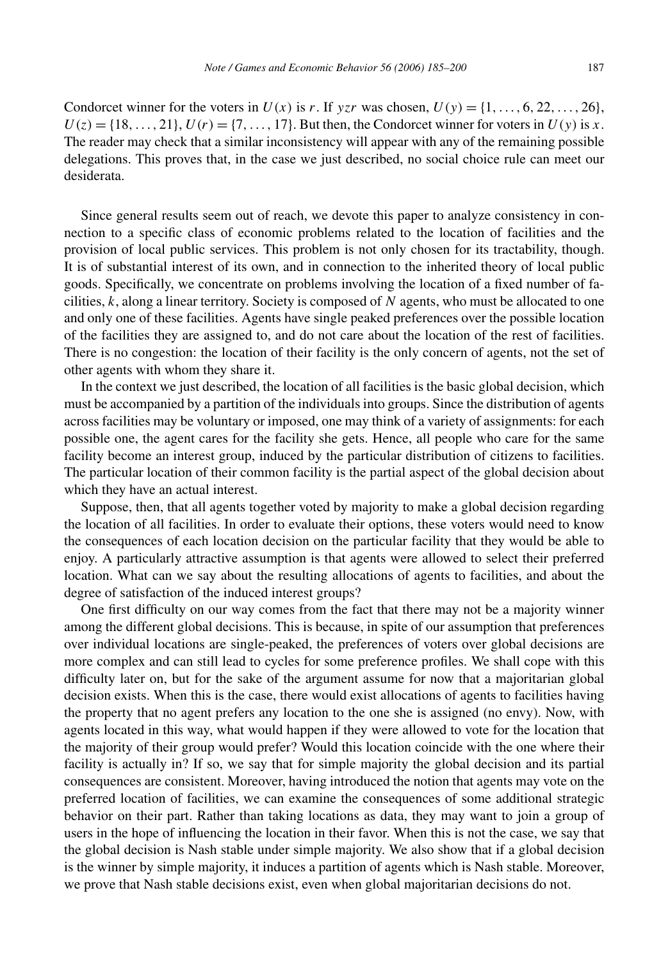Condorcet winner for the voters in  $U(x)$  is r. If yzr was chosen,  $U(y) = \{1, \ldots, 6, 22, \ldots, 26\}$ ,  $U(z) = \{18, \ldots, 21\}, U(r) = \{7, \ldots, 17\}.$  But then, the Condorcet winner for voters in  $U(y)$  is *x*. The reader may check that a similar inconsistency will appear with any of the remaining possible delegations. This proves that, in the case we just described, no social choice rule can meet our desiderata.

Since general results seem out of reach, we devote this paper to analyze consistency in connection to a specific class of economic problems related to the location of facilities and the provision of local public services. This problem is not only chosen for its tractability, though. It is of substantial interest of its own, and in connection to the inherited theory of local public goods. Specifically, we concentrate on problems involving the location of a fixed number of facilities, *k*, along a linear territory. Society is composed of *N* agents, who must be allocated to one and only one of these facilities. Agents have single peaked preferences over the possible location of the facilities they are assigned to, and do not care about the location of the rest of facilities. There is no congestion: the location of their facility is the only concern of agents, not the set of other agents with whom they share it.

In the context we just described, the location of all facilities is the basic global decision, which must be accompanied by a partition of the individuals into groups. Since the distribution of agents across facilities may be voluntary or imposed, one may think of a variety of assignments: for each possible one, the agent cares for the facility she gets. Hence, all people who care for the same facility become an interest group, induced by the particular distribution of citizens to facilities. The particular location of their common facility is the partial aspect of the global decision about which they have an actual interest.

Suppose, then, that all agents together voted by majority to make a global decision regarding the location of all facilities. In order to evaluate their options, these voters would need to know the consequences of each location decision on the particular facility that they would be able to enjoy. A particularly attractive assumption is that agents were allowed to select their preferred location. What can we say about the resulting allocations of agents to facilities, and about the degree of satisfaction of the induced interest groups?

One first difficulty on our way comes from the fact that there may not be a majority winner among the different global decisions. This is because, in spite of our assumption that preferences over individual locations are single-peaked, the preferences of voters over global decisions are more complex and can still lead to cycles for some preference profiles. We shall cope with this difficulty later on, but for the sake of the argument assume for now that a majoritarian global decision exists. When this is the case, there would exist allocations of agents to facilities having the property that no agent prefers any location to the one she is assigned (no envy). Now, with agents located in this way, what would happen if they were allowed to vote for the location that the majority of their group would prefer? Would this location coincide with the one where their facility is actually in? If so, we say that for simple majority the global decision and its partial consequences are consistent. Moreover, having introduced the notion that agents may vote on the preferred location of facilities, we can examine the consequences of some additional strategic behavior on their part. Rather than taking locations as data, they may want to join a group of users in the hope of influencing the location in their favor. When this is not the case, we say that the global decision is Nash stable under simple majority. We also show that if a global decision is the winner by simple majority, it induces a partition of agents which is Nash stable. Moreover, we prove that Nash stable decisions exist, even when global majoritarian decisions do not.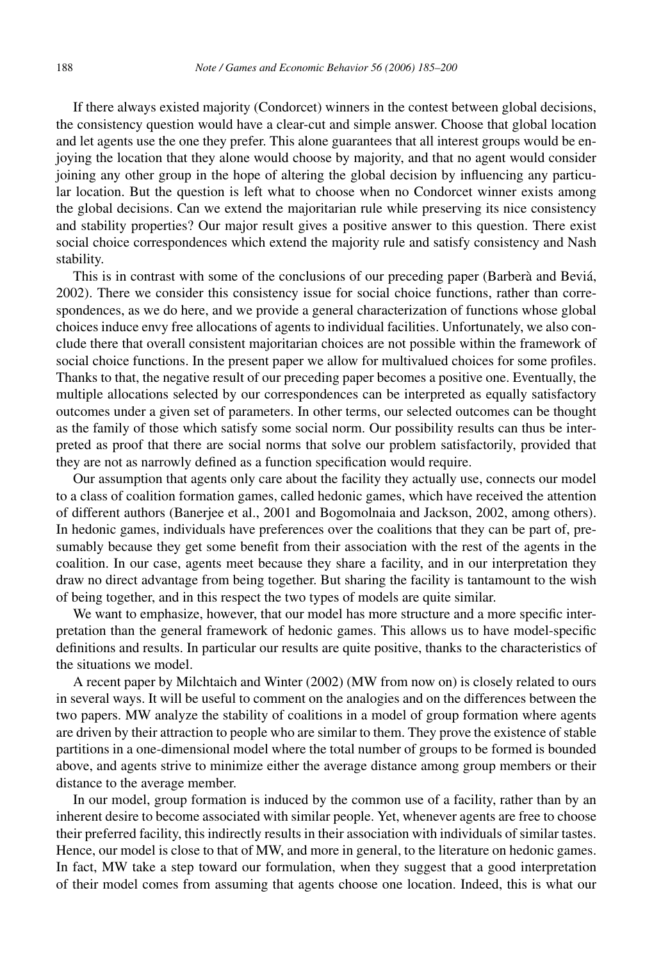If there always existed majority (Condorcet) winners in the contest between global decisions, the consistency question would have a clear-cut and simple answer. Choose that global location and let agents use the one they prefer. This alone guarantees that all interest groups would be enjoying the location that they alone would choose by majority, and that no agent would consider joining any other group in the hope of altering the global decision by influencing any particular location. But the question is left what to choose when no Condorcet winner exists among the global decisions. Can we extend the majoritarian rule while preserving its nice consistency and stability properties? Our major result gives a positive answer to this question. There exist social choice correspondences which extend the majority rule and satisfy consistency and Nash stability.

This is in contrast with some of the conclusions of our preceding paper (Barberà and Beviá, 2002). There we consider this consistency issue for social choice functions, rather than correspondences, as we do here, and we provide a general characterization of functions whose global choices induce envy free allocations of agents to individual facilities. Unfortunately, we also conclude there that overall consistent majoritarian choices are not possible within the framework of social choice functions. In the present paper we allow for multivalued choices for some profiles. Thanks to that, the negative result of our preceding paper becomes a positive one. Eventually, the multiple allocations selected by our correspondences can be interpreted as equally satisfactory outcomes under a given set of parameters. In other terms, our selected outcomes can be thought as the family of those which satisfy some social norm. Our possibility results can thus be interpreted as proof that there are social norms that solve our problem satisfactorily, provided that they are not as narrowly defined as a function specification would require.

Our assumption that agents only care about the facility they actually use, connects our model to a class of coalition formation games, called hedonic games, which have received the attention of different authors (Banerjee et al., 2001 and Bogomolnaia and Jackson, 2002, among others). In hedonic games, individuals have preferences over the coalitions that they can be part of, presumably because they get some benefit from their association with the rest of the agents in the coalition. In our case, agents meet because they share a facility, and in our interpretation they draw no direct advantage from being together. But sharing the facility is tantamount to the wish of being together, and in this respect the two types of models are quite similar.

We want to emphasize, however, that our model has more structure and a more specific interpretation than the general framework of hedonic games. This allows us to have model-specific definitions and results. In particular our results are quite positive, thanks to the characteristics of the situations we model.

A recent paper by Milchtaich and Winter (2002) (MW from now on) is closely related to ours in several ways. It will be useful to comment on the analogies and on the differences between the two papers. MW analyze the stability of coalitions in a model of group formation where agents are driven by their attraction to people who are similar to them. They prove the existence of stable partitions in a one-dimensional model where the total number of groups to be formed is bounded above, and agents strive to minimize either the average distance among group members or their distance to the average member.

In our model, group formation is induced by the common use of a facility, rather than by an inherent desire to become associated with similar people. Yet, whenever agents are free to choose their preferred facility, this indirectly results in their association with individuals of similar tastes. Hence, our model is close to that of MW, and more in general, to the literature on hedonic games. In fact, MW take a step toward our formulation, when they suggest that a good interpretation of their model comes from assuming that agents choose one location. Indeed, this is what our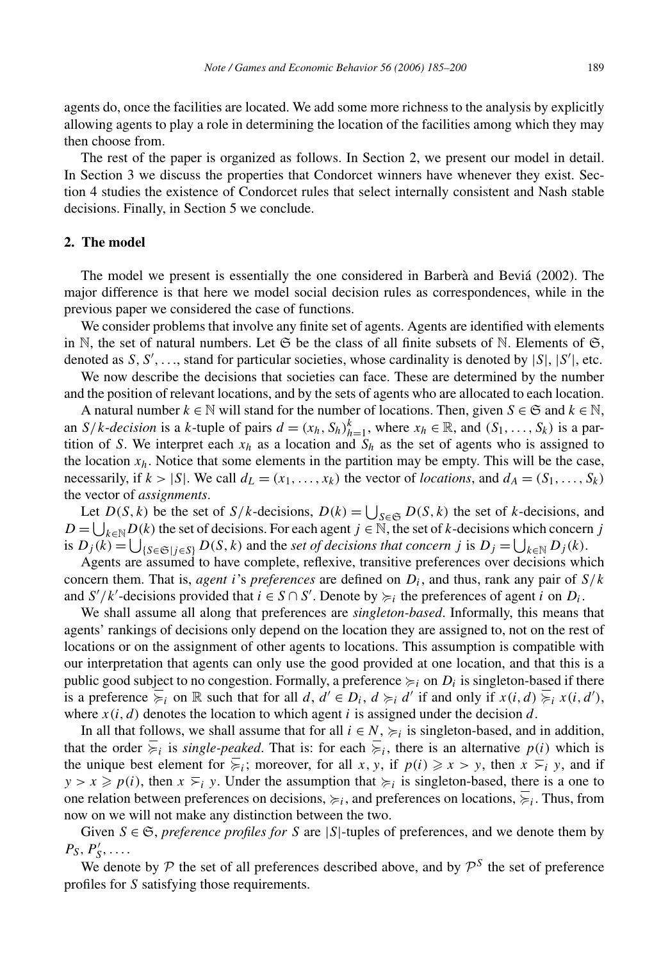agents do, once the facilities are located. We add some more richness to the analysis by explicitly allowing agents to play a role in determining the location of the facilities among which they may then choose from.

The rest of the paper is organized as follows. In Section 2, we present our model in detail. In Section 3 we discuss the properties that Condorcet winners have whenever they exist. Section 4 studies the existence of Condorcet rules that select internally consistent and Nash stable decisions. Finally, in Section 5 we conclude.

## **2. The model**

The model we present is essentially the one considered in Barberà and Beviá (2002). The major difference is that here we model social decision rules as correspondences, while in the previous paper we considered the case of functions.

We consider problems that involve any finite set of agents. Agents are identified with elements in N, the set of natural numbers. Let  $\mathfrak S$  be the class of all finite subsets of N. Elements of  $\mathfrak S$ , denoted as  $S, S', \ldots$ , stand for particular societies, whose cardinality is denoted by  $|S|, |S'|$ , etc.

We now describe the decisions that societies can face. These are determined by the number and the position of relevant locations, and by the sets of agents who are allocated to each location.

A natural number  $k \in \mathbb{N}$  will stand for the number of locations. Then, given  $S \in \mathfrak{S}$  and  $k \in \mathbb{N}$ , an *S/k-decision* is a *k*-tuple of pairs  $d = (x_h, S_h)_{h=1}^k$ , where  $x_h \in \mathbb{R}$ , and  $(S_1, \ldots, S_k)$  is a partition of *S*. We interpret each  $x_h$  as a location and  $S_h$  as the set of agents who is assigned to the location  $x_h$ . Notice that some elements in the partition may be empty. This will be the case, necessarily, if  $k > |S|$ . We call  $d_L = (x_1, \ldots, x_k)$  the vector of *locations*, and  $d_A = (S_1, \ldots, S_k)$ the vector of *assignments*.

Let  $D(S, k)$  be the set of  $S/k$ -decisions,  $D(k) = \bigcup_{S \in \mathfrak{S}} D(S, k)$  the set of *k*-decisions, and  $D = \bigcup_{k \in \mathbb{N}} D(k)$  the set of decisions. For each agent *j* ∈ N, the set of *k*-decisions which concern *j* is  $D_j(k) = \bigcup_{\{S \in \mathfrak{S} | j \in S\}} D(S, k)$  and the *set of decisions that concern j* is  $D_j = \bigcup_{k \in \mathbb{N}} D_j(k)$ .

Agents are assumed to have complete, reflexive, transitive preferences over decisions which concern them. That is, *agent i*'s *preferences* are defined on  $D_i$ , and thus, rank any pair of  $S/k$ and *S'* / *k'*-decisions provided that  $i \in S \cap S'$ . Denote by  $\succcurlyeq_i$  the preferences of agent *i* on  $D_i$ .

We shall assume all along that preferences are *singleton-based*. Informally, this means that agents' rankings of decisions only depend on the location they are assigned to, not on the rest of locations or on the assignment of other agents to locations. This assumption is compatible with our interpretation that agents can only use the good provided at one location, and that this is a public good subject to no congestion. Formally, a preference  $\succ_i$  on  $D_i$  is singleton-based if there is a preference  $\overline{\succ}_{i}$  on  $\mathbb{R}$  such that for all  $d, d' \in D_{i}, d \succcurlyeq_{i} d'$  if and only if  $x(i, d) \succcurlyeq_{i} x(i, d')$ , where  $x(i, d)$  denotes the location to which agent *i* is assigned under the decision *d*.

In all that follows, we shall assume that for all  $i \in N$ ,  $\succeq_i$  is singleton-based, and in addition, that the order  $\overline{\succ}_{i}$  is *single-peaked*. That is: for each  $\overline{\succ}_{i}$ , there is an alternative  $p(i)$  which is the unique best element for  $\overline{\succ}_{i}$ ; moreover, for all *x*, *y*, if  $p(i) \ge x > y$ , then  $x >_{i} y$ , and if  $y > x \geq p(i)$ , then  $x \geq i$  *y*. Under the assumption that  $\succeq i$  is singleton-based, there is a one to one relation between preferences on decisions,  $\succcurlyeq_i$ , and preferences on locations,  $\succcurlyeq_i$ . Thus, from now on we will not make any distinction between the two.

Given  $S \in \mathfrak{S}$ , *preference profiles for S* are  $|S|$ -tuples of preferences, and we denote them by  $P_S, P'_S, \ldots$ .

We denote by  $P$  the set of all preferences described above, and by  $P^S$  the set of preference profiles for *S* satisfying those requirements.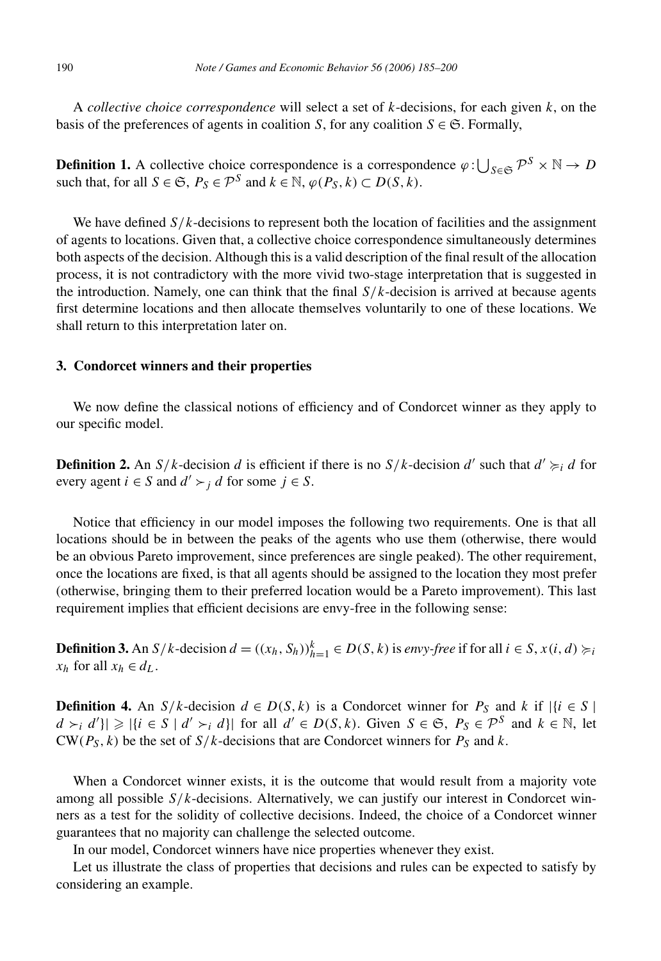A *collective choice correspondence* will select a set of *k*-decisions, for each given *k*, on the basis of the preferences of agents in coalition *S*, for any coalition  $S \in \mathfrak{S}$ . Formally,

**Definition 1.** A collective choice correspondence is a correspondence  $\varphi$  :  $\bigcup_{S \in \mathfrak{S}} \mathcal{P}^S \times \mathbb{N} \to D$ such that, for all  $S \in \mathfrak{S}$ ,  $P_S \in \mathcal{P}^S$  and  $k \in \mathbb{N}$ ,  $\varphi(P_S, k) \subset D(S, k)$ .

We have defined  $S/k$ -decisions to represent both the location of facilities and the assignment of agents to locations. Given that, a collective choice correspondence simultaneously determines both aspects of the decision. Although this is a valid description of the final result of the allocation process, it is not contradictory with the more vivid two-stage interpretation that is suggested in the introduction. Namely, one can think that the final *S/k*-decision is arrived at because agents first determine locations and then allocate themselves voluntarily to one of these locations. We shall return to this interpretation later on.

#### **3. Condorcet winners and their properties**

We now define the classical notions of efficiency and of Condorcet winner as they apply to our specific model.

**Definition 2.** An *S/k*-decision *d* is efficient if there is no *S/k*-decision *d'* such that  $d' \geq d$  for every agent  $i \in S$  and  $d' \succ_i d$  for some  $j \in S$ .

Notice that efficiency in our model imposes the following two requirements. One is that all locations should be in between the peaks of the agents who use them (otherwise, there would be an obvious Pareto improvement, since preferences are single peaked). The other requirement, once the locations are fixed, is that all agents should be assigned to the location they most prefer (otherwise, bringing them to their preferred location would be a Pareto improvement). This last requirement implies that efficient decisions are envy-free in the following sense:

**Definition 3.** An *S/k*-decision  $d = ((x_h, S_h))_{h=1}^k \in D(S, k)$  is *envy-free* if for all  $i \in S$ ,  $x(i, d) \ge i$  $x_h$  for all  $x_h \in d_L$ .

**Definition 4.** An *S/k*-decision  $d \in D(S, k)$  is a Condorcet winner for  $P_S$  and *k* if  $|\{i \in S\}|$  $d \succ_i d'$ |  $\geq |{i \in S \mid d' \succ_i d}|$  for all  $d' \in D(S, k)$ . Given  $S \in \mathfrak{S}, P_S \in \mathcal{P}^S$  and  $k \in \mathbb{N}$ , let  $CW(P_S, k)$  be the set of  $S/k$ -decisions that are Condorcet winners for  $P_S$  and  $k$ .

When a Condorcet winner exists, it is the outcome that would result from a majority vote among all possible *S/k*-decisions. Alternatively, we can justify our interest in Condorcet winners as a test for the solidity of collective decisions. Indeed, the choice of a Condorcet winner guarantees that no majority can challenge the selected outcome.

In our model, Condorcet winners have nice properties whenever they exist.

Let us illustrate the class of properties that decisions and rules can be expected to satisfy by considering an example.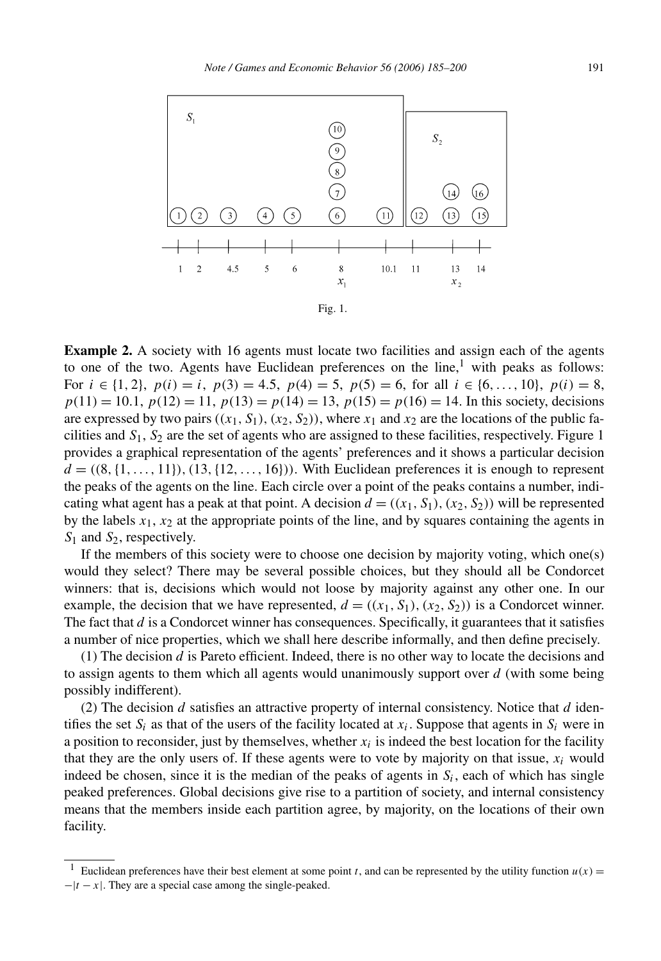

**Example 2.** A society with 16 agents must locate two facilities and assign each of the agents to one of the two. Agents have Euclidean preferences on the  $\text{line}^1$  with peaks as follows: For  $i \in \{1, 2\}$ ,  $p(i) = i$ ,  $p(3) = 4.5$ ,  $p(4) = 5$ ,  $p(5) = 6$ , for all  $i \in \{6, ..., 10\}$ ,  $p(i) = 8$ ,  $p(11) = 10.1$ ,  $p(12) = 11$ ,  $p(13) = p(14) = 13$ ,  $p(15) = p(16) = 14$ . In this society, decisions are expressed by two pairs  $((x_1, S_1), (x_2, S_2))$ , where  $x_1$  and  $x_2$  are the locations of the public facilities and *S*1, *S*<sup>2</sup> are the set of agents who are assigned to these facilities, respectively. Figure 1 provides a graphical representation of the agents' preferences and it shows a particular decision  $d = ((8, \{1, \ldots, 11\}), (13, \{12, \ldots, 16\}))$ . With Euclidean preferences it is enough to represent the peaks of the agents on the line. Each circle over a point of the peaks contains a number, indicating what agent has a peak at that point. A decision  $d = ((x_1, S_1), (x_2, S_2))$  will be represented by the labels  $x_1$ ,  $x_2$  at the appropriate points of the line, and by squares containing the agents in *S*<sup>1</sup> and *S*2, respectively.

If the members of this society were to choose one decision by majority voting, which one(s) would they select? There may be several possible choices, but they should all be Condorcet winners: that is, decisions which would not loose by majority against any other one. In our example, the decision that we have represented,  $d = ((x_1, S_1), (x_2, S_2))$  is a Condorcet winner. The fact that *d* is a Condorcet winner has consequences. Specifically, it guarantees that it satisfies a number of nice properties, which we shall here describe informally, and then define precisely.

(1) The decision *d* is Pareto efficient. Indeed, there is no other way to locate the decisions and to assign agents to them which all agents would unanimously support over *d* (with some being possibly indifferent).

(2) The decision *d* satisfies an attractive property of internal consistency. Notice that *d* identifies the set  $S_i$  as that of the users of the facility located at  $x_i$ . Suppose that agents in  $S_i$  were in a position to reconsider, just by themselves, whether  $x_i$  is indeed the best location for the facility that they are the only users of. If these agents were to vote by majority on that issue,  $x_i$  would indeed be chosen, since it is the median of the peaks of agents in  $S_i$ , each of which has single peaked preferences. Global decisions give rise to a partition of society, and internal consistency means that the members inside each partition agree, by majority, on the locations of their own facility.

<sup>&</sup>lt;sup>1</sup> Euclidean preferences have their best element at some point *t*, and can be represented by the utility function  $u(x) =$  $-|t - x|$ . They are a special case among the single-peaked.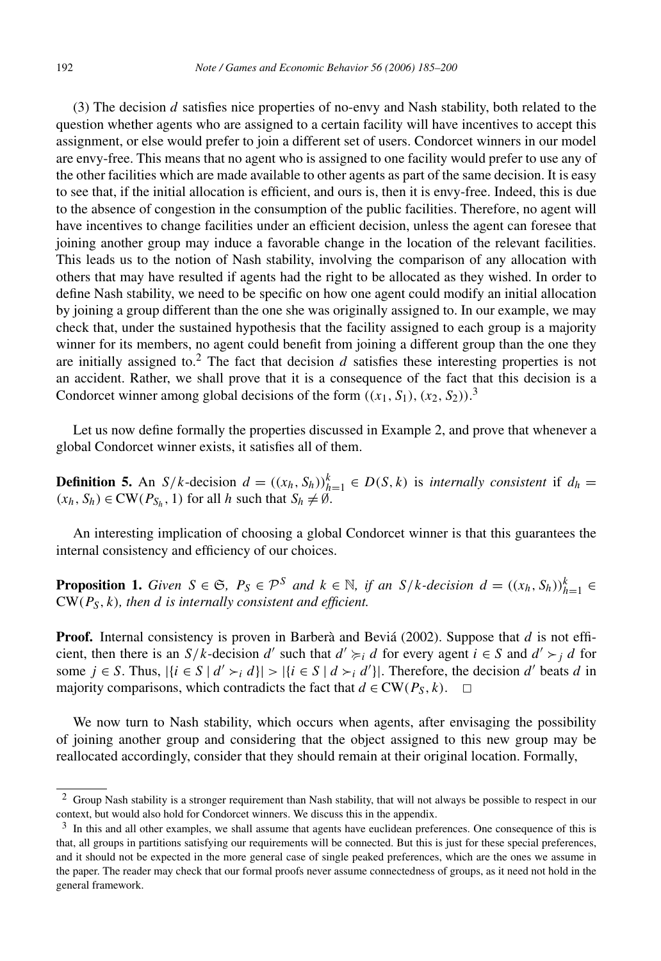(3) The decision *d* satisfies nice properties of no-envy and Nash stability, both related to the question whether agents who are assigned to a certain facility will have incentives to accept this assignment, or else would prefer to join a different set of users. Condorcet winners in our model are envy-free. This means that no agent who is assigned to one facility would prefer to use any of the other facilities which are made available to other agents as part of the same decision. It is easy to see that, if the initial allocation is efficient, and ours is, then it is envy-free. Indeed, this is due to the absence of congestion in the consumption of the public facilities. Therefore, no agent will have incentives to change facilities under an efficient decision, unless the agent can foresee that joining another group may induce a favorable change in the location of the relevant facilities. This leads us to the notion of Nash stability, involving the comparison of any allocation with others that may have resulted if agents had the right to be allocated as they wished. In order to define Nash stability, we need to be specific on how one agent could modify an initial allocation by joining a group different than the one she was originally assigned to. In our example, we may check that, under the sustained hypothesis that the facility assigned to each group is a majority winner for its members, no agent could benefit from joining a different group than the one they are initially assigned to.2 The fact that decision *d* satisfies these interesting properties is not an accident. Rather, we shall prove that it is a consequence of the fact that this decision is a Condorcet winner among global decisions of the form  $((x_1, S_1), (x_2, S_2))$ .<sup>3</sup>

Let us now define formally the properties discussed in Example 2, and prove that whenever a global Condorcet winner exists, it satisfies all of them.

**Definition 5.** An *S/k*-decision  $d = ((x_h, S_h))_{h=1}^k \in D(S, k)$  is *internally consistent* if  $d_h =$  $(x_h, S_h) \in CW(P_{S_h}, 1)$  for all *h* such that  $S_h \neq \emptyset$ .

An interesting implication of choosing a global Condorcet winner is that this guarantees the internal consistency and efficiency of our choices.

**Proposition 1.** *Given*  $S \in \mathfrak{S}$ ,  $P_S \in \mathcal{P}^S$  *and*  $k \in \mathbb{N}$ , *if an*  $S/k$ *-decision*  $d = ((x_h, S_h))_{h=1}^k \in$ CW*(PS,k), then d is internally consistent and efficient.*

**Proof.** Internal consistency is proven in Barberà and Beviá (2002). Suppose that *d* is not efficient, then there is an *S/k*-decision *d'* such that  $d' \geq i$  *d* for every agent  $i \in S$  and  $d' \geq j$  *d* for some  $j \in S$ . Thus,  $|\{i \in S \mid d' \succ_i d\}| > |\{i \in S \mid d \succ_i d'\}|$ . Therefore, the decision *d'* beats *d* in majority comparisons, which contradicts the fact that  $d \in CW(P_S, k)$ .  $\Box$ 

We now turn to Nash stability, which occurs when agents, after envisaging the possibility of joining another group and considering that the object assigned to this new group may be reallocated accordingly, consider that they should remain at their original location. Formally,

 $2$  Group Nash stability is a stronger requirement than Nash stability, that will not always be possible to respect in our context, but would also hold for Condorcet winners. We discuss this in the appendix.

<sup>3</sup> In this and all other examples, we shall assume that agents have euclidean preferences. One consequence of this is that, all groups in partitions satisfying our requirements will be connected. But this is just for these special preferences, and it should not be expected in the more general case of single peaked preferences, which are the ones we assume in the paper. The reader may check that our formal proofs never assume connectedness of groups, as it need not hold in the general framework.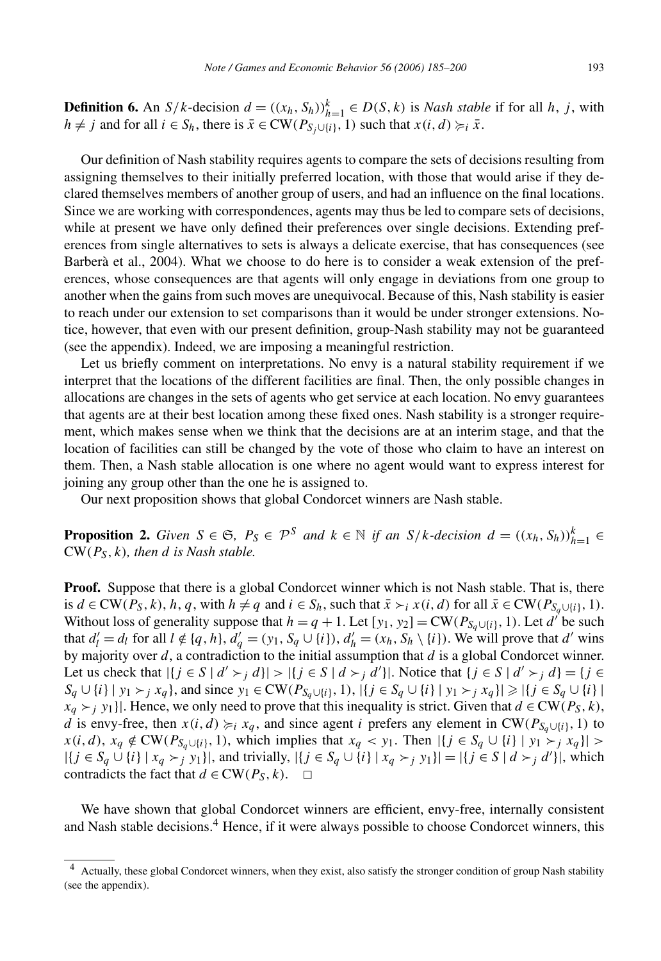**Definition 6.** An *S/k*-decision  $d = ((x_h, S_h))_{h=1}^k \in D(S, k)$  is *Nash stable* if for all *h*, *j*, with *h*  $\neq$  *j* and for all *i* ∈ *S<sub>h</sub>*, there is  $\bar{x}$  ∈ CW( $P_{S_j \cup \{i\}}$ , 1) such that *x*(*i, d*)  $\succcurlyeq_i \bar{x}$ .

Our definition of Nash stability requires agents to compare the sets of decisions resulting from assigning themselves to their initially preferred location, with those that would arise if they declared themselves members of another group of users, and had an influence on the final locations. Since we are working with correspondences, agents may thus be led to compare sets of decisions, while at present we have only defined their preferences over single decisions. Extending preferences from single alternatives to sets is always a delicate exercise, that has consequences (see Barberà et al., 2004). What we choose to do here is to consider a weak extension of the preferences, whose consequences are that agents will only engage in deviations from one group to another when the gains from such moves are unequivocal. Because of this, Nash stability is easier to reach under our extension to set comparisons than it would be under stronger extensions. Notice, however, that even with our present definition, group-Nash stability may not be guaranteed (see the appendix). Indeed, we are imposing a meaningful restriction.

Let us briefly comment on interpretations. No envy is a natural stability requirement if we interpret that the locations of the different facilities are final. Then, the only possible changes in allocations are changes in the sets of agents who get service at each location. No envy guarantees that agents are at their best location among these fixed ones. Nash stability is a stronger requirement, which makes sense when we think that the decisions are at an interim stage, and that the location of facilities can still be changed by the vote of those who claim to have an interest on them. Then, a Nash stable allocation is one where no agent would want to express interest for joining any group other than the one he is assigned to.

Our next proposition shows that global Condorcet winners are Nash stable.

**Proposition 2.** *Given*  $S \in \mathfrak{S}$ ,  $P_S \in \mathcal{P}^S$  *and*  $k \in \mathbb{N}$  *if an*  $S/k$ *-decision*  $d = ((x_h, S_h))_{h=1}^k \in \mathbb{N}$ CW*(PS,k), then d is Nash stable.*

**Proof.** Suppose that there is a global Condorcet winner which is not Nash stable. That is, there is *d* ∈ CW( $P_S$ , *k*), *h*, *q*, with *h* ≠ *q* and *i* ∈ *S<sub>h</sub>*, such that  $\bar{x}$  ≻ *i x*(*i*, *d*) for all  $\bar{x}$  ∈ CW( $P_{S_o \cup \{i\}}$ , 1). Without loss of generality suppose that  $h = q + 1$ . Let  $[y_1, y_2] = CW(P_{S_q \cup \{i\}}, 1)$ . Let  $d'$  be such that  $d'_{l} = d_{l}$  for all  $l \notin \{q, h\}, d'_{q} = (y_{1}, S_{q} \cup \{i\}), d'_{h} = (x_{h}, S_{h} \setminus \{i\})$ . We will prove that  $d'$  wins by majority over *d*, a contradiction to the initial assumption that *d* is a global Condorcet winner. Let us check that |{*j* ∈ *S* | *d <sup>j</sup> d*}| *>* |{*j* ∈ *S* | *d <sup>j</sup> d* }|. Notice that {*j* ∈ *S* | *d <sup>j</sup> d*}={*j* ∈  $S_q \cup \{i\} \mid y_1 \succ_j x_q\}$ , and since  $y_1 \in CW(P_{S_q \cup \{i\}}, 1)$ ,  $|\{j \in S_q \cup \{i\} \mid y_1 \succ_j x_q\}| \geq |\{j \in S_q \cup \{i\}\}|$  $x_q \succ_i y_1$ . Hence, we only need to prove that this inequality is strict. Given that  $d \in CW(P_S, k)$ , *d* is envy-free, then  $x(i, d) \succcurlyeq_i x_q$ , and since agent *i* prefers any element in CW( $P_{S_q \cup \{i\}}$ , 1) to *x*(*i, d*), *x<sub>q</sub>* ∉ *CW*( $P_{S_q \cup \{i\}}$ , 1), which implies that  $x_q < y_1$ . Then  $|\{j \in S_q \cup \{i\} \mid y_1 > j x_q\}|$  $|{j \in S_q \cup \{i\} \mid x_q > j \n$ y<sub>1</sub> $\}|$ , and trivially,  $|{j \in S_q \cup \{i\} \mid x_q > j \n$ y<sub>1</sub> $\}| = |{j \in S \mid d > j \n} d'$ }, which contradicts the fact that  $d \in CW(P_S, k)$ .  $\Box$ 

We have shown that global Condorcet winners are efficient, envy-free, internally consistent and Nash stable decisions.<sup>4</sup> Hence, if it were always possible to choose Condorcet winners, this

<sup>&</sup>lt;sup>4</sup> Actually, these global Condorcet winners, when they exist, also satisfy the stronger condition of group Nash stability (see the appendix).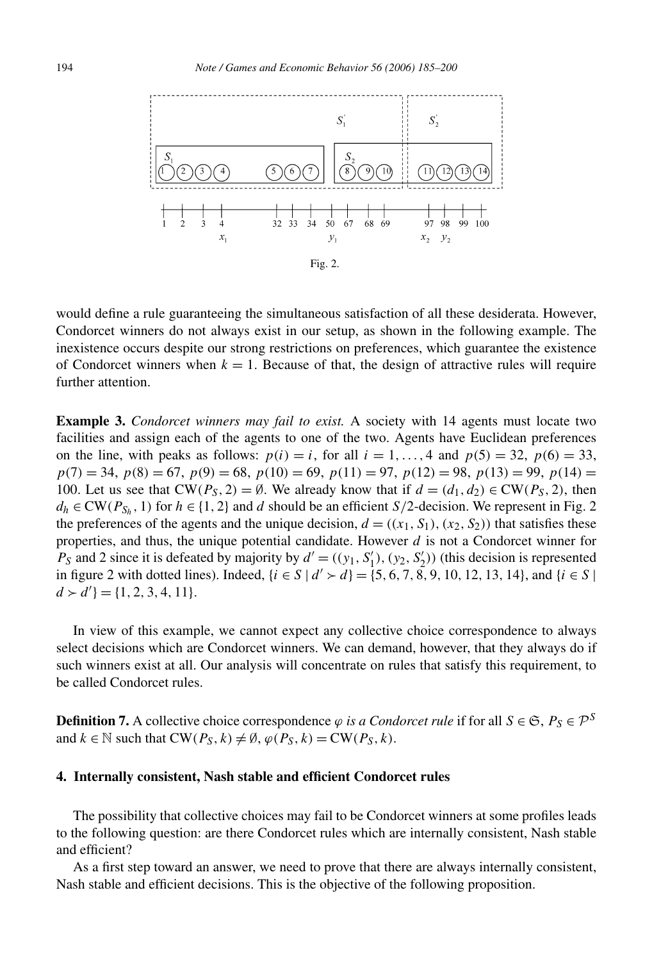

would define a rule guaranteeing the simultaneous satisfaction of all these desiderata. However, Condorcet winners do not always exist in our setup, as shown in the following example. The inexistence occurs despite our strong restrictions on preferences, which guarantee the existence of Condorcet winners when  $k = 1$ . Because of that, the design of attractive rules will require further attention.

**Example 3.** *Condorcet winners may fail to exist.* A society with 14 agents must locate two facilities and assign each of the agents to one of the two. Agents have Euclidean preferences on the line, with peaks as follows:  $p(i) = i$ , for all  $i = 1, \ldots, 4$  and  $p(5) = 32$ ,  $p(6) = 33$ , *p(*7*)* = 34, *p(*8*)* = 67, *p(*9*)* = 68, *p(*10*)* = 69, *p(*11*)* = 97, *p(*12*)* = 98, *p(*13*)* = 99, *p(*14*)* = 100. Let us see that  $CW(P_S, 2) = \emptyset$ . We already know that if  $d = (d_1, d_2) \in CW(P_S, 2)$ , then  $d_h \in CW(P_{S_h}, 1)$  for  $h \in \{1, 2\}$  and *d* should be an efficient *S*/2-decision. We represent in Fig. 2 the preferences of the agents and the unique decision,  $d = ((x_1, S_1), (x_2, S_2))$  that satisfies these properties, and thus, the unique potential candidate. However *d* is not a Condorcet winner for  $P_S$  and 2 since it is defeated by majority by  $d' = ((y_1, S'_1), (y_2, S'_2))$  (this decision is represented in figure 2 with dotted lines). Indeed,  $\{i \in S \mid d' > d\} = \{5, 6, 7, 8, 9, 10, 12, 13, 14\}$ , and  $\{i \in S \mid d' = 1, 1, 2, 3, 4\}$  $d > d'$ } = {1*,* 2*,* 3*,* 4*,* 11}.

In view of this example, we cannot expect any collective choice correspondence to always select decisions which are Condorcet winners. We can demand, however, that they always do if such winners exist at all. Our analysis will concentrate on rules that satisfy this requirement, to be called Condorcet rules.

**Definition 7.** A collective choice correspondence  $\varphi$  *is a Condorcet rule* if for all  $S \in \mathfrak{S}$ ,  $P_S \in \mathcal{P}^S$ and  $k \in \mathbb{N}$  such that  $CW(P_S, k) \neq \emptyset$ ,  $\varphi(P_S, k) = CW(P_S, k)$ .

#### **4. Internally consistent, Nash stable and efficient Condorcet rules**

The possibility that collective choices may fail to be Condorcet winners at some profiles leads to the following question: are there Condorcet rules which are internally consistent, Nash stable and efficient?

As a first step toward an answer, we need to prove that there are always internally consistent, Nash stable and efficient decisions. This is the objective of the following proposition.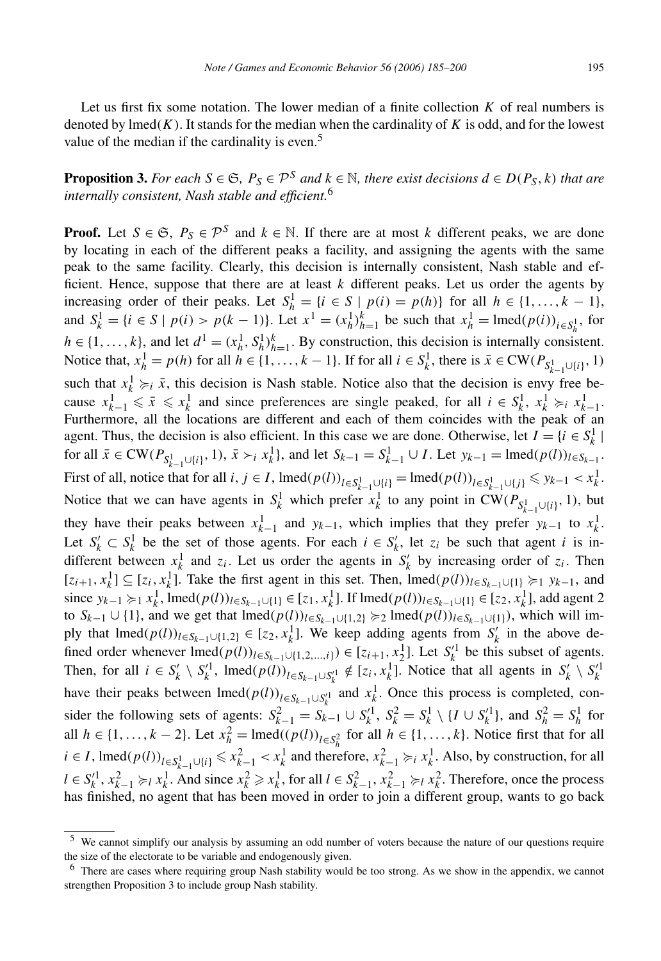Let us first fix some notation. The lower median of a finite collection *K* of real numbers is denoted by lmed*(K)*. It stands for the median when the cardinality of *K* is odd, and for the lowest value of the median if the cardinality is even.<sup>5</sup>

**Proposition 3.** *For each*  $S \in \mathfrak{S}$ ,  $P_S \in \mathcal{P}^S$  *and*  $k \in \mathbb{N}$ , *there exist decisions*  $d \in D(P_S, k)$  *that are internally consistent, Nash stable and efficient.*<sup>6</sup>

**Proof.** Let  $S \in \mathfrak{S}$ ,  $P_S \in \mathcal{P}^S$  and  $k \in \mathbb{N}$ . If there are at most *k* different peaks, we are done by locating in each of the different peaks a facility, and assigning the agents with the same peak to the same facility. Clearly, this decision is internally consistent, Nash stable and efficient. Hence, suppose that there are at least *k* different peaks. Let us order the agents by increasing order of their peaks. Let  $S_h^1 = \{i \in S \mid p(i) = p(h)\}\$  for all  $h \in \{1, ..., k - 1\}$ , and  $S_k^1 = \{i \in S \mid p(i) > p(k-1)\}\$ . Let  $x^1 = (x_h^1)_{h=1}^k$  be such that  $x_h^1 = \text{lmed}(p(i))_{i \in S_h^1}$ , for  $h \in \{1, \ldots, k\}$ , and let  $d^1 = (x_h^1, S_h^1)_{h=1}^k$ . By construction, this decision is internally consistent. Notice that,  $x_h^1 = p(h)$  for all  $h \in \{1, ..., k-1\}$ . If for all  $i \in S_k^1$ , there is  $\bar{x} \in CW(P_{S_{k-1}^1 \cup \{i\}}, 1)$ such that  $x_k^1 \succcurlyeq_i \bar{x}$ , this decision is Nash stable. Notice also that the decision is envy free because  $x_{k-1}^1 \leq x \leq x_k^1$  and since preferences are single peaked, for all  $i \in S_k^1$ ,  $x_k^1 \geq i$ ,  $x_{k-1}^1$ . Furthermore, all the locations are different and each of them coincides with the peak of an agent. Thus, the decision is also efficient. In this case we are done. Otherwise, let  $I = \{i \in S^1_k \mid k \in S^2_k\}$ for all  $\bar{x}$  ∈ CW( $P_{S_{k-1}^1 \cup \{i\}}$ , 1),  $\bar{x} >_i x_k^1$ , and let  $S_{k-1} = S_{k-1}^1 \cup I$ . Let  $y_{k-1} = \text{Imed}(p(l))_{l \in S_{k-1}}$ . First of all, notice that for all *i*,  $j \in I$ ,  $\text{Imed}(p(l))_{l \in S^1_{k-1} \cup \{i\}} = \text{Imed}(p(l))_{l \in S^1_{k-1} \cup \{j\}} \leq y_{k-1} < x_k^1$ . Notice that we can have agents in  $S_k^1$  which prefer  $x_k^1$  to any point in  $CW(P_{S_{k-1}^1 \cup \{i\}}, 1)$ , but they have their peaks between  $x_{k-1}^1$  and  $y_{k-1}$ , which implies that they prefer  $y_{k-1}$  to  $x_k^1$ . Let  $S_k' \subset S_k^1$  be the set of those agents. For each  $i \in S_k'$ , let  $z_i$  be such that agent *i* is indifferent between  $x_k^1$  and  $z_i$ . Let us order the agents in  $S'_k$  by increasing order of  $z_i$ . Then  $[z_{i+1}, x_k^1]$  ⊆  $[z_i, x_k^1]$ . Take the first agent in this set. Then, lmed $(p(l))_{l \in S_{k-1} \cup \{1\}} \geq 1$  *y<sub>k−1</sub>*, and since  $y_{k-1} \geq 1$   $x_k^1$ , lmed $(p(l))_{l \in S_{k-1} \cup \{1\}} \in [z_1, x_k^1]$ . If lmed $(p(l))_{l \in S_{k-1} \cup \{1\}} \in [z_2, x_k^1]$ , add agent 2 to  $S_{k-1} \cup \{1\}$ , and we get that  $\text{lmed}(p(l))_{l \in S_{k-1} \cup \{1,2\}} \geq 2 \text{lmed}(p(l))_{l \in S_{k-1} \cup \{1\}}$ , which will imply that lmed $(p(l))_{l \in S_{k-1} \cup \{1,2\}}$  ∈ [*z*<sub>2</sub>*, x*<sub>k</sub><sup>1</sup>]. We keep adding agents from *S*<sup>'</sup><sub>k</sub> in the above defined order whenever  $\text{lmed}(p(l))_{l \in S_{k-1} \cup \{1,2,\ldots,i\}}) \in [z_{i+1}, x_2^1]$ . Let  $S_k'^1$  be this subset of agents. Then, for all  $i \in S'_k \setminus S'^1_k$ , lmed $(p(l))_{l \in S_{k-1} \cup S'^1_k} \notin [z_i, x_k^1]$ . Notice that all agents in  $S'_k \setminus S'^1_k$ have their peaks between  $\text{lmed}(p(l))_{l \in S_{k-1} \cup S_k^{\prime}}$  and  $x_k^1$ . Once this process is completed, consider the following sets of agents:  $S_{k-1}^2 = S_{k-1} \cup S_k'^1$ ,  $S_k^2 = S_k^1 \setminus \{I \cup S_k'^1\}$ , and  $S_h^2 = S_h^1$  for all *h* ∈ {1, ..., *k* − 2}. Let  $x_h^2$  = lmed $((p(l))_{l \in S_h^2}$  for all *h* ∈ {1, ..., *k*}. Notice first that for all *i* ∈ *I*, lmed $(p(l))_{l \in S^1_{k-1} \cup \{i\}} \le x_{k-1}^2 < x_k^1$  and therefore,  $x_{k-1}^2 ≻_i x_k^1$ . Also, by construction, for all  $l \in S_k^{\prime 1}, x_{k-1}^2 \succcurlyeq_l x_k^1$ . And since  $x_k^2 \ge x_k^1$ , for all  $l \in S_{k-1}^2, x_{k-1}^2 \succcurlyeq_l x_k^2$ . Therefore, once the process has finished, no agent that has been moved in order to join a different group, wants to go back

<sup>5</sup> We cannot simplify our analysis by assuming an odd number of voters because the nature of our questions require the size of the electorate to be variable and endogenously given.

<sup>&</sup>lt;sup>6</sup> There are cases where requiring group Nash stability would be too strong. As we show in the appendix, we cannot strengthen Proposition 3 to include group Nash stability.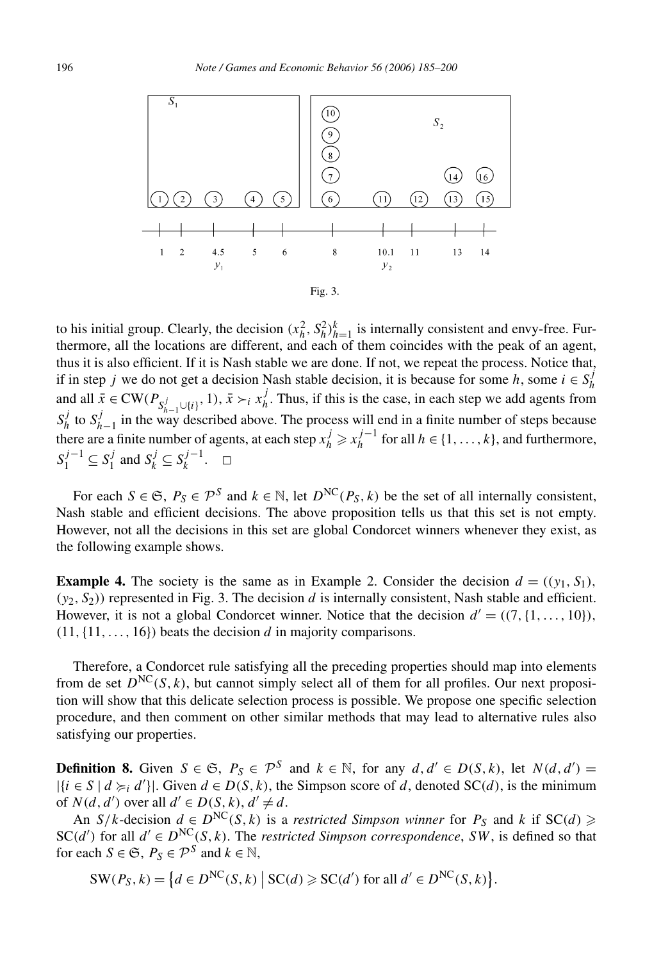

to his initial group. Clearly, the decision  $(x_h^2, S_h^2)_{h=1}^k$  is internally consistent and envy-free. Furthermore, all the locations are different, and each of them coincides with the peak of an agent, thus it is also efficient. If it is Nash stable we are done. If not, we repeat the process. Notice that, if in step *j* we do not get a decision Nash stable decision, it is because for some *h*, some  $i \in S_h^j$ and all  $\bar{x} \in CW(P_{S_{h-1}^j \cup \{i\}}, 1), \bar{x} \succ_i x_h^j$ . Thus, if this is the case, in each step we add agents from  $S_h^j$  to  $S_{h-1}^j$  in the way described above. The process will end in a finite number of steps because there are a finite number of agents, at each step  $x_h^j \ge x_h^{j-1}$  for all  $h \in \{1, ..., k\}$ , and furthermore,  $S_1^{j-1} \subseteq S_1^j$  and  $S_k^j \subseteq S_k^{j-1}$ .  $\Box$ 

For each  $S \in \mathfrak{S}$ ,  $P_S \in \mathcal{P}^S$  and  $k \in \mathbb{N}$ , let  $D^{NC}(P_S, k)$  be the set of all internally consistent, Nash stable and efficient decisions. The above proposition tells us that this set is not empty. However, not all the decisions in this set are global Condorcet winners whenever they exist, as the following example shows.

**Example 4.** The society is the same as in Example 2. Consider the decision  $d = (y_1, S_1)$ ,  $(y_2, S_2)$ ) represented in Fig. 3. The decision *d* is internally consistent, Nash stable and efficient. However, it is not a global Condorcet winner. Notice that the decision  $d' = ((7, \{1, \ldots, 10\})$ , *(*11*,*{11*,...,* 16}*)* beats the decision *d* in majority comparisons.

Therefore, a Condorcet rule satisfying all the preceding properties should map into elements from de set  $D<sup>NC</sup>(S, k)$ , but cannot simply select all of them for all profiles. Our next proposition will show that this delicate selection process is possible. We propose one specific selection procedure, and then comment on other similar methods that may lead to alternative rules also satisfying our properties.

**Definition 8.** Given  $S \in \mathfrak{S}$ ,  $P_S \in \mathcal{P}^S$  and  $k \in \mathbb{N}$ , for any  $d, d' \in D(S, k)$ , let  $N(d, d') =$  $|\{i \in S \mid d \succ_{i} d'\}|$ . Given *d* ∈ *D*(*S*, *k*), the Simpson score of *d*, denoted SC(*d*), is the minimum of  $N(d, d')$  over all  $d' \in D(S, k)$ ,  $d' \neq d$ .

An  $S/k$ -decision  $d \in D^{NC}(S, k)$  is a *restricted Simpson winner* for  $P_S$  and  $k$  if  $SC(d) \geq$ SC( $d'$ ) for all  $d' \in D<sup>NC</sup>(S, k)$ . The *restricted Simpson correspondence*, *SW*, is defined so that for each  $S \in \mathfrak{S}$ ,  $P_S \in \mathcal{P}^S$  and  $k \in \mathbb{N}$ ,

$$
SW(P_S, k) = \left\{ d \in D^{NC}(S, k) \mid SC(d) \ge SC(d') \text{ for all } d' \in D^{NC}(S, k) \right\}.
$$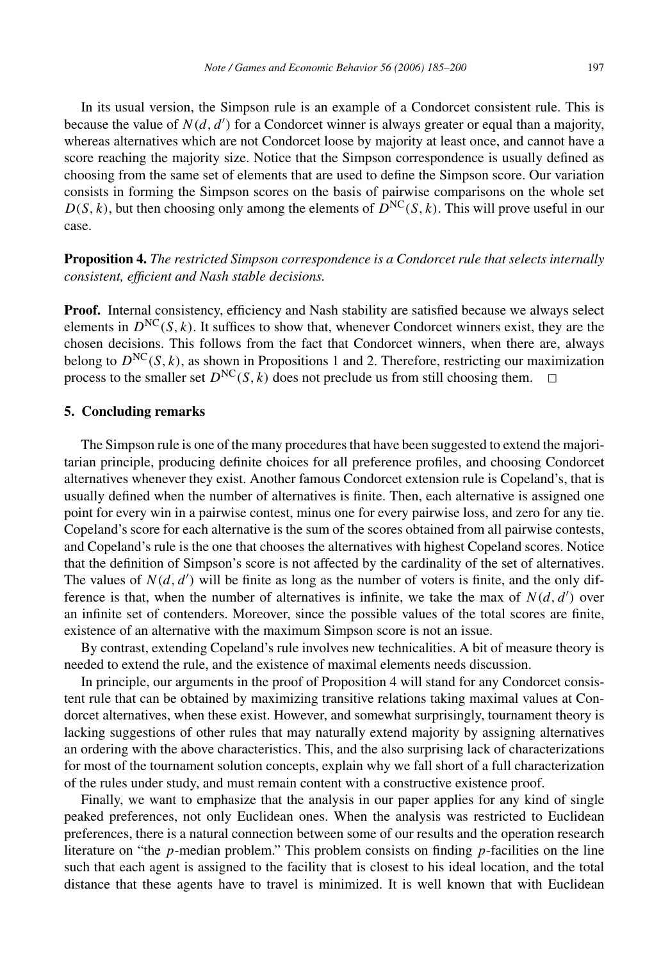In its usual version, the Simpson rule is an example of a Condorcet consistent rule. This is because the value of  $N(d, d')$  for a Condorcet winner is always greater or equal than a majority, whereas alternatives which are not Condorcet loose by majority at least once, and cannot have a score reaching the majority size. Notice that the Simpson correspondence is usually defined as choosing from the same set of elements that are used to define the Simpson score. Our variation consists in forming the Simpson scores on the basis of pairwise comparisons on the whole set  $D(S, k)$ , but then choosing only among the elements of  $D<sup>NC</sup>(S, k)$ . This will prove useful in our

**Proposition 4.** *The restricted Simpson correspondence is a Condorcet rule that selects internally consistent, efficient and Nash stable decisions.*

**Proof.** Internal consistency, efficiency and Nash stability are satisfied because we always select elements in  $D<sup>NC</sup>(S, k)$ . It suffices to show that, whenever Condorcet winners exist, they are the chosen decisions. This follows from the fact that Condorcet winners, when there are, always belong to  $D<sup>NC</sup>(S, k)$ , as shown in Propositions 1 and 2. Therefore, restricting our maximization process to the smaller set  $D<sup>NC</sup>(S, k)$  does not preclude us from still choosing them.  $\Box$ 

## **5. Concluding remarks**

case.

The Simpson rule is one of the many procedures that have been suggested to extend the majoritarian principle, producing definite choices for all preference profiles, and choosing Condorcet alternatives whenever they exist. Another famous Condorcet extension rule is Copeland's, that is usually defined when the number of alternatives is finite. Then, each alternative is assigned one point for every win in a pairwise contest, minus one for every pairwise loss, and zero for any tie. Copeland's score for each alternative is the sum of the scores obtained from all pairwise contests, and Copeland's rule is the one that chooses the alternatives with highest Copeland scores. Notice that the definition of Simpson's score is not affected by the cardinality of the set of alternatives. The values of  $N(d, d')$  will be finite as long as the number of voters is finite, and the only difference is that, when the number of alternatives is infinite, we take the max of  $N(d, d')$  over an infinite set of contenders. Moreover, since the possible values of the total scores are finite, existence of an alternative with the maximum Simpson score is not an issue.

By contrast, extending Copeland's rule involves new technicalities. A bit of measure theory is needed to extend the rule, and the existence of maximal elements needs discussion.

In principle, our arguments in the proof of Proposition 4 will stand for any Condorcet consistent rule that can be obtained by maximizing transitive relations taking maximal values at Condorcet alternatives, when these exist. However, and somewhat surprisingly, tournament theory is lacking suggestions of other rules that may naturally extend majority by assigning alternatives an ordering with the above characteristics. This, and the also surprising lack of characterizations for most of the tournament solution concepts, explain why we fall short of a full characterization of the rules under study, and must remain content with a constructive existence proof.

Finally, we want to emphasize that the analysis in our paper applies for any kind of single peaked preferences, not only Euclidean ones. When the analysis was restricted to Euclidean preferences, there is a natural connection between some of our results and the operation research literature on "the *p*-median problem." This problem consists on finding *p*-facilities on the line such that each agent is assigned to the facility that is closest to his ideal location, and the total distance that these agents have to travel is minimized. It is well known that with Euclidean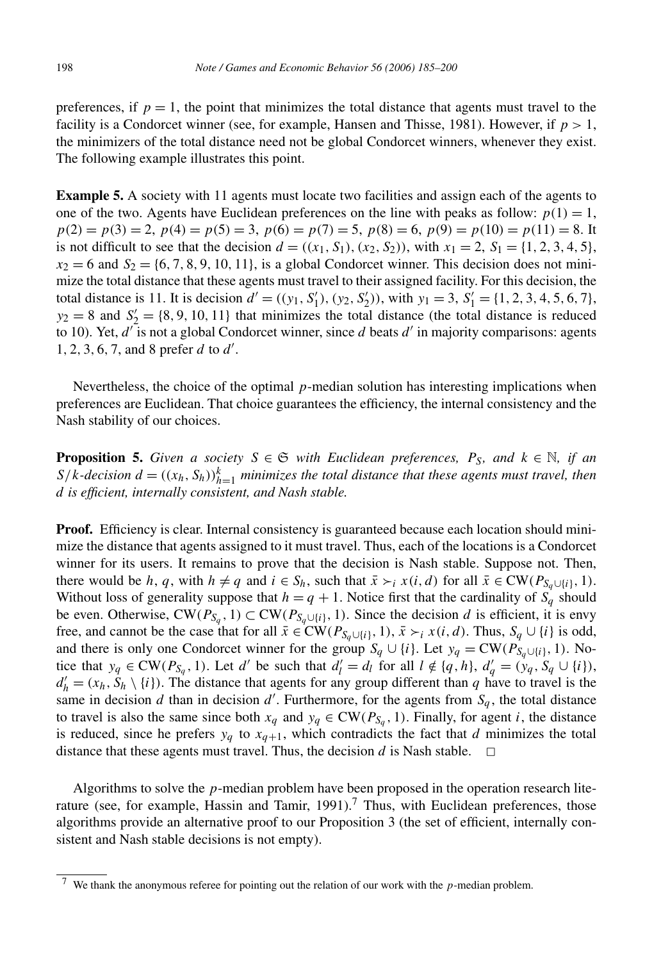preferences, if  $p = 1$ , the point that minimizes the total distance that agents must travel to the facility is a Condorcet winner (see, for example, Hansen and Thisse, 1981). However, if *p >* 1, the minimizers of the total distance need not be global Condorcet winners, whenever they exist. The following example illustrates this point.

**Example 5.** A society with 11 agents must locate two facilities and assign each of the agents to one of the two. Agents have Euclidean preferences on the line with peaks as follow:  $p(1) = 1$ ,  $p(2) = p(3) = 2$ ,  $p(4) = p(5) = 3$ ,  $p(6) = p(7) = 5$ ,  $p(8) = 6$ ,  $p(9) = p(10) = p(11) = 8$ . It is not difficult to see that the decision  $d = ((x_1, S_1), (x_2, S_2))$ , with  $x_1 = 2$ ,  $S_1 = \{1, 2, 3, 4, 5\}$ ,  $x_2 = 6$  and  $S_2 = \{6, 7, 8, 9, 10, 11\}$ , is a global Condorcet winner. This decision does not minimize the total distance that these agents must travel to their assigned facility. For this decision, the total distance is 11. It is decision  $d' = ((y_1, S'_1), (y_2, S'_2))$ , with  $y_1 = 3, S'_1 = \{1, 2, 3, 4, 5, 6, 7\}$ ,  $y_2 = 8$  and  $S_2' = \{8, 9, 10, 11\}$  that minimizes the total distance (the total distance is reduced to 10). Yet, *d* is not a global Condorcet winner, since *d* beats *d* in majority comparisons: agents 1*,* 2*,* 3*,* 6*,* 7, and 8 prefer *d* to *d* .

Nevertheless, the choice of the optimal *p*-median solution has interesting implications when preferences are Euclidean. That choice guarantees the efficiency, the internal consistency and the Nash stability of our choices.

**Proposition 5.** *Given a society*  $S \in \mathfrak{S}$  *with Euclidean preferences,*  $P_S$ *, and*  $k \in \mathbb{N}$ *, if an S*/*k-decision*  $d = ((x_h, S_h))_{h=1}^k$  *minimizes the total distance that these agents must travel, then d is efficient, internally consistent, and Nash stable.*

**Proof.** Efficiency is clear. Internal consistency is guaranteed because each location should minimize the distance that agents assigned to it must travel. Thus, each of the locations is a Condorcet winner for its users. It remains to prove that the decision is Nash stable. Suppose not. Then, there would be *h*, *q*, with  $h \neq q$  and  $i \in S_h$ , such that  $\bar{x} \succ_i x(i, d)$  for all  $\bar{x} \in CW(P_{S_q \cup \{i\}}, 1)$ . Without loss of generality suppose that  $h = q + 1$ . Notice first that the cardinality of  $S_q$  should be even. Otherwise, CW( $P_{S_a}$ , 1) ⊂ CW( $P_{S_a \cup \{i\}}$ , 1). Since the decision *d* is efficient, it is envy free, and cannot be the case that for all  $\bar{x} \in CW(P_{S_q \cup \{i\}}, 1), \bar{x} \succ_i x(i, d)$ . Thus,  $S_q \cup \{i\}$  is odd, and there is only one Condorcet winner for the group  $S_q \cup \{i\}$ . Let  $y_q = CW(P_{S_q \cup \{i\}}, 1)$ . Notice that  $y_q \in CW(P_{S_q}, 1)$ . Let *d'* be such that  $d'_l = d_l$  for all  $l \notin \{q, h\}$ ,  $d'_q = \{y_q, S_q \cup \{i\}\}\$ ,  $d'_{h} = (x_h, \hat{S}_h \setminus \{i\})$ . The distance that agents for any group different than *q* have to travel is the same in decision *d* than in decision *d'*. Furthermore, for the agents from  $S_q$ , the total distance to travel is also the same since both  $x_q$  and  $y_q \in CW(P_{S_q}, 1)$ . Finally, for agent *i*, the distance is reduced, since he prefers  $y_q$  to  $x_{q+1}$ , which contradicts the fact that *d* minimizes the total distance that these agents must travel. Thus, the decision  $d$  is Nash stable.  $\Box$ 

Algorithms to solve the *p*-median problem have been proposed in the operation research literature (see, for example, Hassin and Tamir, 1991).<sup>7</sup> Thus, with Euclidean preferences, those algorithms provide an alternative proof to our Proposition 3 (the set of efficient, internally consistent and Nash stable decisions is not empty).

<sup>7</sup> We thank the anonymous referee for pointing out the relation of our work with the *p*-median problem.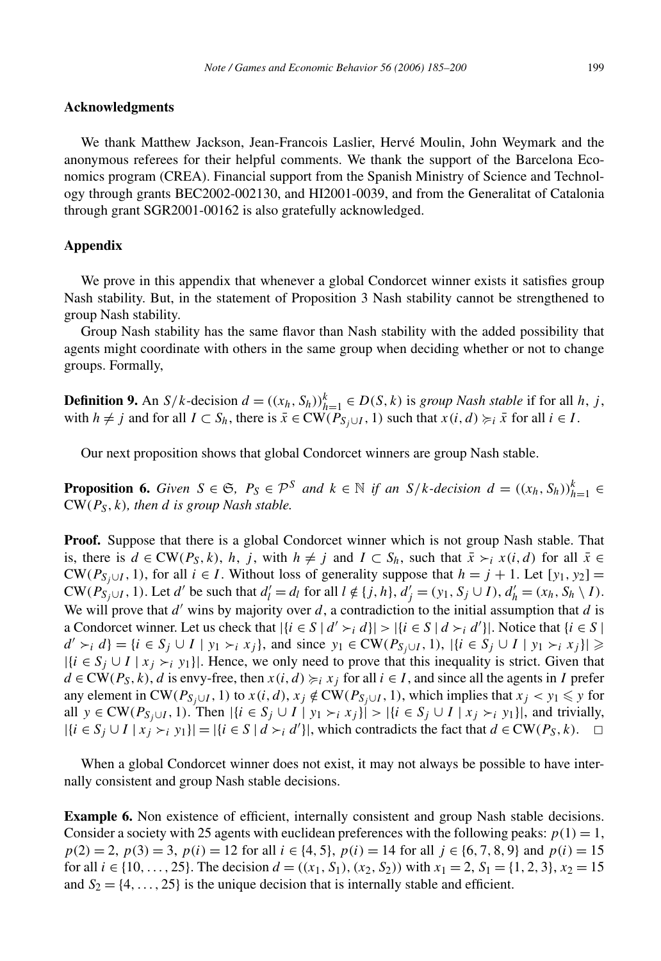#### **Acknowledgments**

We thank Matthew Jackson, Jean-Francois Laslier, Hervé Moulin, John Weymark and the anonymous referees for their helpful comments. We thank the support of the Barcelona Economics program (CREA). Financial support from the Spanish Ministry of Science and Technology through grants BEC2002-002130, and HI2001-0039, and from the Generalitat of Catalonia through grant SGR2001-00162 is also gratefully acknowledged.

## **Appendix**

We prove in this appendix that whenever a global Condorcet winner exists it satisfies group Nash stability. But, in the statement of Proposition 3 Nash stability cannot be strengthened to group Nash stability.

Group Nash stability has the same flavor than Nash stability with the added possibility that agents might coordinate with others in the same group when deciding whether or not to change groups. Formally,

**Definition 9.** An *S/k*-decision  $d = ((x_h, S_h))_{h=1}^k \in D(S, k)$  is *group Nash stable* if for all *h*, *j*, with  $h \neq j$  and for all  $I \subset S_h$ , there is  $\bar{x} \in CW(P_{S_j \cup I}, 1)$  such that  $x(i, d) \geq i \bar{x}$  for all  $i \in I$ .

Our next proposition shows that global Condorcet winners are group Nash stable.

**Proposition 6.** *Given*  $S \in \mathfrak{S}$ ,  $P_S \in \mathcal{P}^S$  *and*  $k \in \mathbb{N}$  *if an*  $S/k$ *-decision*  $d = ((x_h, S_h))_{h=1}^k \in \mathbb{N}$ CW*(PS,k), then d is group Nash stable.*

**Proof.** Suppose that there is a global Condorcet winner which is not group Nash stable. That is, there is  $d \in CW(P_S, k)$ , *h*, *j*, with  $h \neq j$  and  $I \subset S_h$ , such that  $\bar{x} \succ_i x(i, d)$  for all  $\bar{x} \in$  $CW(P_{S_i \cup I}, 1)$ , for all  $i \in I$ . Without loss of generality suppose that  $h = j + 1$ . Let [*y*<sub>1</sub>*, y*<sub>2</sub>] =  $CW(P_{S_j \cup I}, 1)$ . Let d' be such that  $d'_l = d_l$  for all  $l \notin \{j, h\}, d'_j = (y_1, S_j \cup I), d'_h = (x_h, S_h \setminus I)$ . We will prove that  $d'$  wins by majority over  $d$ , a contradiction to the initial assumption that  $d$  is a Condorcet winner. Let us check that  $|\{i \in S \mid d' \succ_i d\}| > |\{i \in S \mid d \succ_i d'\}|$ . Notice that  $\{i \in S \mid d \succ_i d'\}|$  $d' \succ_i d$  =  $\{i \in S_j \cup I \mid y_1 \succ_i x_j\}$ , and since  $y_1 \in CW(P_{S_j \cup I}, 1)$ ,  $|\{i \in S_j \cup I \mid y_1 \succ_i x_j\}| \geq$  $|\{i \in S_j \cup I \mid x_i \succ_i y_1\}|$ . Hence, we only need to prove that this inequality is strict. Given that *d* ∈ CW( $P_S$ , *k*), *d* is envy-free, then *x*(*i*, *d*)  $\succeq$ <sub>*i*</sub> *x*<sub>*j*</sub> for all *i* ∈ *I*, and since all the agents in *I* prefer any element in  $CW(P_{S_i \cup I}, 1)$  to  $x(i, d), x_j \notin CW(P_{S_i \cup I}, 1)$ , which implies that  $x_j < y_1 \le y$  for all *y* ∈ CW( $P_{S_j \cup I}$ , 1). Then  $|\{i \in S_j \cup I \mid y_1 \succ_i x_j\}| > |\{i \in S_j \cup I \mid x_j \succ_i y_1\}|$ , and trivially,  $|\{i \in S_j \cup I \mid x_j > i \mid y_1\}| = |\{i \in S \mid d > i \mid d'\}|$ , which contradicts the fact that  $d \in CW(P_S, k)$ . □

When a global Condorcet winner does not exist, it may not always be possible to have internally consistent and group Nash stable decisions.

**Example 6.** Non existence of efficient, internally consistent and group Nash stable decisions. Consider a society with 25 agents with euclidean preferences with the following peaks:  $p(1) = 1$ , *p*(2*)* = 2, *p*(3*)* = 3, *p*(*i*) = 12 for all *i* ∈ {4, 5}, *p*(*i*) = 14 for all *j* ∈ {6, 7, 8, 9} and *p*(*i*) = 15 for all  $i \in \{10, \ldots, 25\}$ . The decision  $d = ((x_1, S_1), (x_2, S_2))$  with  $x_1 = 2, S_1 = \{1, 2, 3\}, x_2 = 15$ and  $S_2 = \{4, \ldots, 25\}$  is the unique decision that is internally stable and efficient.